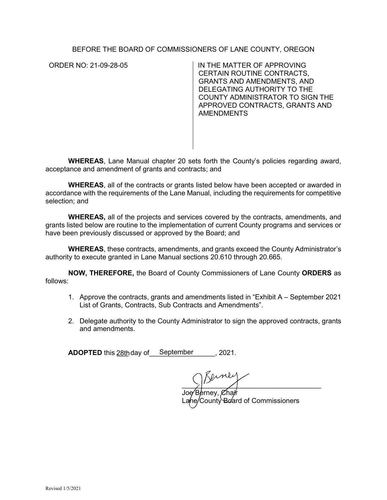## BEFORE THE BOARD OF COMMISSIONERS OF LANE COUNTY, OREGON

ORDER NO: 21-09-28-05 IN THE MATTER OF APPROVING CERTAIN ROUTINE CONTRACTS, GRANTS AND AMENDMENTS, AND DELEGATING AUTHORITY TO THE COUNTY ADMINISTRATOR TO SIGN THE APPROVED CONTRACTS, GRANTS AND AMENDMENTS

**WHEREAS**, Lane Manual chapter 20 sets forth the County's policies regarding award, acceptance and amendment of grants and contracts; and

**WHEREAS**, all of the contracts or grants listed below have been accepted or awarded in accordance with the requirements of the Lane Manual, including the requirements for competitive selection; and

**WHEREAS,** all of the projects and services covered by the contracts, amendments, and grants listed below are routine to the implementation of current County programs and services or have been previously discussed or approved by the Board; and

**WHEREAS**, these contracts, amendments, and grants exceed the County Administrator's authority to execute granted in Lane Manual sections 20.610 through 20.665*.* 

**NOW, THEREFORE,** the Board of County Commissioners of Lane County **ORDERS** as follows:

- 1. Approve the contracts, grants and amendments listed in "Exhibit A September 2021 List of Grants, Contracts, Sub Contracts and Amendments".
- 2. Delegate authority to the County Administrator to sign the approved contracts, grants and amendments.

**ADOPTED** this 28th day of September 2021.

 $\mathbb{R}$ erney

 $\chi$ hair nty Board of Commissioners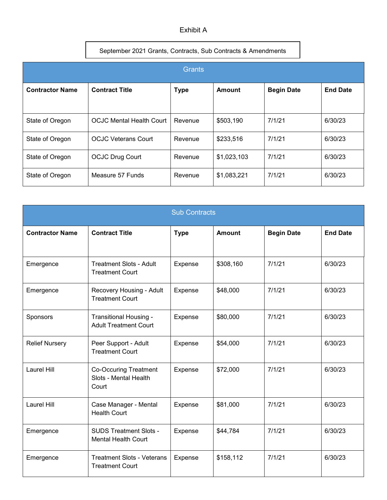## Exhibit A

## September 2021 Grants, Contracts, Sub Contracts & Amendments

| <b>Grants</b>          |                                 |             |               |                   |                 |  |  |
|------------------------|---------------------------------|-------------|---------------|-------------------|-----------------|--|--|
| <b>Contractor Name</b> | <b>Contract Title</b>           | <b>Type</b> | <b>Amount</b> | <b>Begin Date</b> | <b>End Date</b> |  |  |
| State of Oregon        | <b>OCJC Mental Health Court</b> | Revenue     | \$503,190     | 7/1/21            | 6/30/23         |  |  |
| State of Oregon        | <b>OCJC Veterans Court</b>      | Revenue     | \$233,516     | 7/1/21            | 6/30/23         |  |  |
| State of Oregon        | <b>OCJC Drug Court</b>          | Revenue     | \$1,023,103   | 7/1/21            | 6/30/23         |  |  |
| State of Oregon        | Measure 57 Funds                | Revenue     | \$1,083,221   | 7/1/21            | 6/30/23         |  |  |

| <b>Sub Contracts</b>   |                                                                |             |               |                   |                 |  |  |
|------------------------|----------------------------------------------------------------|-------------|---------------|-------------------|-----------------|--|--|
| <b>Contractor Name</b> | <b>Contract Title</b>                                          | <b>Type</b> | <b>Amount</b> | <b>Begin Date</b> | <b>End Date</b> |  |  |
| Emergence              | <b>Treatment Slots - Adult</b><br><b>Treatment Court</b>       | Expense     | \$308,160     | 7/1/21            | 6/30/23         |  |  |
| Emergence              | Recovery Housing - Adult<br><b>Treatment Court</b>             | Expense     | \$48,000      | 7/1/21            | 6/30/23         |  |  |
| Sponsors               | Transitional Housing -<br><b>Adult Treatment Court</b>         | Expense     | \$80,000      | 7/1/21            | 6/30/23         |  |  |
| <b>Relief Nursery</b>  | Peer Support - Adult<br><b>Treatment Court</b>                 | Expense     | \$54,000      | 7/1/21            | 6/30/23         |  |  |
| Laurel Hill            | <b>Co-Occuring Treatment</b><br>Slots - Mental Health<br>Court | Expense     | \$72,000      | 7/1/21            | 6/30/23         |  |  |
| <b>Laurel Hill</b>     | Case Manager - Mental<br><b>Health Court</b>                   | Expense     | \$81,000      | 7/1/21            | 6/30/23         |  |  |
| Emergence              | <b>SUDS Treatment Slots -</b><br><b>Mental Health Court</b>    | Expense     | \$44,784      | 7/1/21            | 6/30/23         |  |  |
| Emergence              | <b>Treatment Slots - Veterans</b><br><b>Treatment Court</b>    | Expense     | \$158,112     | 7/1/21            | 6/30/23         |  |  |